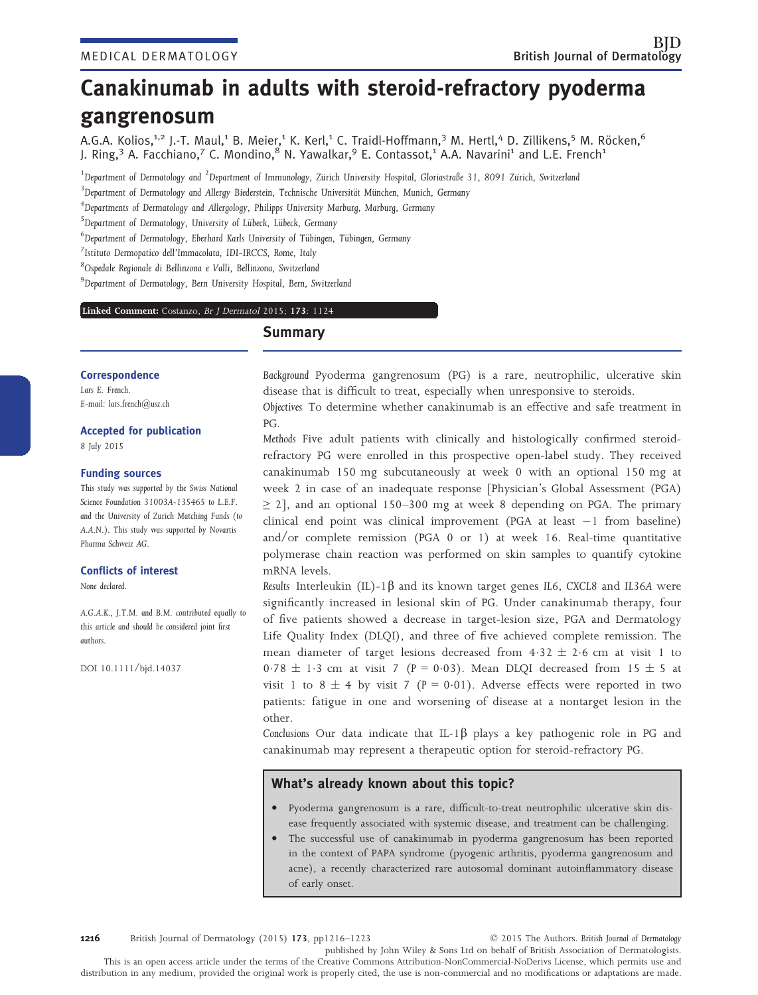# Canakinumab in adults with steroid-refractory pyoderma gangrenosum

A.G.A. Kolios,<sup>1,2</sup> J.-T. Maul,<sup>1</sup> B. Meier,<sup>1</sup> K. Kerl,<sup>1</sup> C. Traidl-Hoffmann,<sup>3</sup> M. Hertl,<sup>4</sup> D. Zillikens,<sup>5</sup> M. Röcken,<sup>6</sup> J. Ring,<sup>3</sup> A. Facchiano,<sup>7</sup> C. Mondino,<sup>8</sup> N. Yawalkar,<sup>9</sup> E. Contassot,<sup>1</sup> A.A. Navarini<sup>1</sup> and L.E. French<sup>1</sup>

 $^1$ Department of Dermatology and  $^2$ Department of Immunology, Zürich University Hospital, Gloriastraße 31, 8091 Zürich, Switzerland

- <sup>3</sup>Department of Dermatology and Allergy Biederstein, Technische Universität München, Munich, Germany
- 4 Departments of Dermatology and Allergology, Philipps University Marburg, Marburg, Germany

<sup>5</sup>Department of Dermatology, University of Lübeck, Lübeck, Germany

<sup>6</sup>Department of Dermatology, Eberhard Karls University of Tübingen, Tübingen, Germany

7 Istituto Dermopatico dell'Immacolata, IDI-IRCCS, Rome, Italy

8 Ospedale Regionale di Bellinzona e Valli, Bellinzona, Switzerland

9 Department of Dermatology, Bern University Hospital, Bern, Switzerland

Linked Comment: [Costanzo,](http://dx.doi.org/10.1111/bjd.14195) Br J Dermatol 2015; 173: 1124

# **Summary**

## **Correspondence**

Lars E. French. E-mail: lars.french@usz.ch

Accepted for publication

8 July 2015

#### Funding sources

This study was supported by the Swiss National Science Foundation 31003A-135465 to L.E.F. and the University of Zurich Matching Funds (to A.A.N.). This study was supported by Novartis Pharma Schweiz AG.

## Conflicts of interest

None declared.

A.G.A.K., J.T.M. and B.M. contributed equally to this article and should be considered joint first authors.

DOI 10.1111/bjd.14037

Background Pyoderma gangrenosum (PG) is a rare, neutrophilic, ulcerative skin disease that is difficult to treat, especially when unresponsive to steroids.

Objectives To determine whether canakinumab is an effective and safe treatment in PG.

Methods Five adult patients with clinically and histologically confirmed steroidrefractory PG were enrolled in this prospective open-label study. They received canakinumab 150 mg subcutaneously at week 0 with an optional 150 mg at week 2 in case of an inadequate response [Physician's Global Assessment (PGA)  $\geq$  2], and an optional 150–300 mg at week 8 depending on PGA. The primary clinical end point was clinical improvement (PGA at least  $-1$  from baseline) and/or complete remission (PGA 0 or 1) at week 16. Real-time quantitative polymerase chain reaction was performed on skin samples to quantify cytokine mRNA levels.

Results Interleukin (IL)-1 $\beta$  and its known target genes IL6, CXCL8 and IL36A were significantly increased in lesional skin of PG. Under canakinumab therapy, four of five patients showed a decrease in target-lesion size, PGA and Dermatology Life Quality Index (DLQI), and three of five achieved complete remission. The mean diameter of target lesions decreased from  $4.32 \pm 2.6$  cm at visit 1 to  $0.78 \pm 1.3$  cm at visit 7 (P = 0.03). Mean DLQI decreased from 15  $\pm$  5 at visit 1 to 8  $\pm$  4 by visit 7 (P = 0.01). Adverse effects were reported in two patients: fatigue in one and worsening of disease at a nontarget lesion in the other.

Conclusions Our data indicate that IL-1 $\beta$  plays a key pathogenic role in PG and canakinumab may represent a therapeutic option for steroid-refractory PG.

## What's already known about this topic?

- Pyoderma gangrenosum is a rare, difficult-to-treat neutrophilic ulcerative skin disease frequently associated with systemic disease, and treatment can be challenging.
- The successful use of canakinumab in pyoderma gangrenosum has been reported in the context of PAPA syndrome (pyogenic arthritis, pyoderma gangrenosum and acne), a recently characterized rare autosomal dominant autoinflammatory disease of early onset.

1216 British Journal of Dermatology (2015) 173, pp1216–1223

© 2015 The Authors. British Journal of Dermatology

published by John Wiley & Sons Ltd on behalf of British Association of Dermatologists. This is an open access article under the terms of the [Creative Commons Attribution-NonCommercial-NoDerivs](http://creativecommons.org/licenses/by-nc-nd/4.0/) License, which permits use and distribution in any medium, provided the original work is properly cited, the use is non-commercial and no modifications or adaptations are made.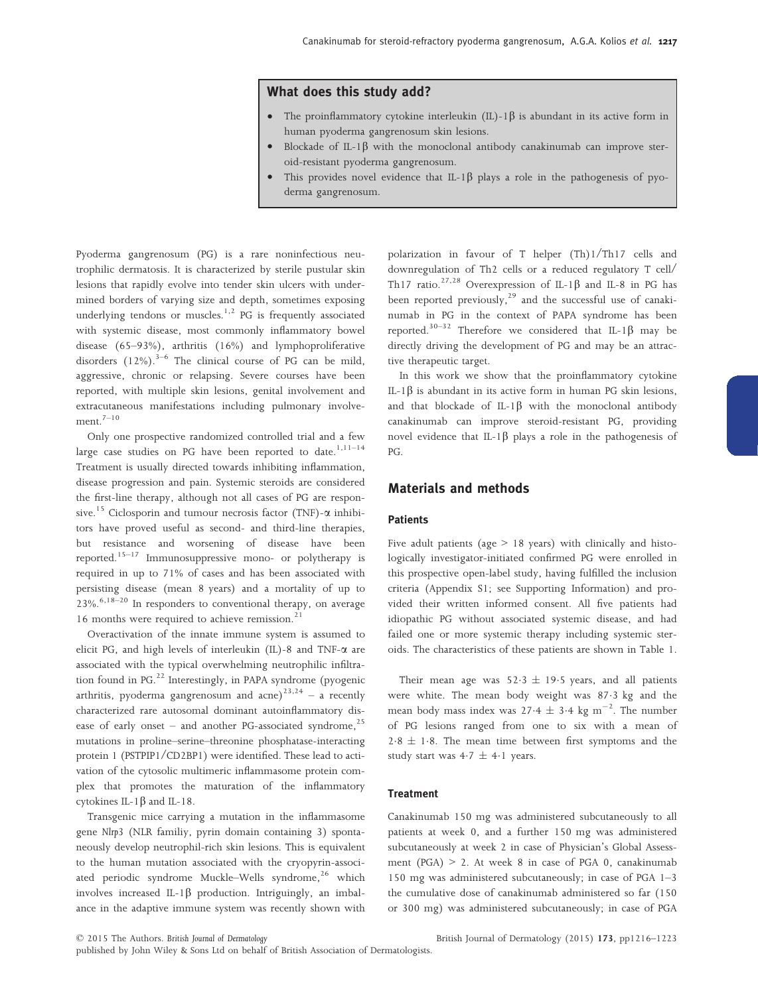## What does this study add?

- The proinflammatory cytokine interleukin (IL)-1 $\beta$  is abundant in its active form in human pyoderma gangrenosum skin lesions.
- Blockade of IL-1 $\beta$  with the monoclonal antibody canakinumab can improve steroid-resistant pyoderma gangrenosum.
- This provides novel evidence that IL-1 $\beta$  plays a role in the pathogenesis of pyoderma gangrenosum.

Pyoderma gangrenosum (PG) is a rare noninfectious neutrophilic dermatosis. It is characterized by sterile pustular skin lesions that rapidly evolve into tender skin ulcers with undermined borders of varying size and depth, sometimes exposing underlying tendons or muscles.<sup>1,2</sup> PG is frequently associated with systemic disease, most commonly inflammatory bowel disease (65–93%), arthritis (16%) and lymphoproliferative disorders  $(12\%)$ .<sup>3–6</sup> The clinical course of PG can be mild, aggressive, chronic or relapsing. Severe courses have been reported, with multiple skin lesions, genital involvement and extracutaneous manifestations including pulmonary involvement. $7-10$ 

Only one prospective randomized controlled trial and a few large case studies on PG have been reported to date.<sup>1,11-14</sup> Treatment is usually directed towards inhibiting inflammation, disease progression and pain. Systemic steroids are considered the first-line therapy, although not all cases of PG are responsive.<sup>15</sup> Ciclosporin and tumour necrosis factor (TNF)- $\alpha$  inhibitors have proved useful as second- and third-line therapies, but resistance and worsening of disease have been reported.15–<sup>17</sup> Immunosuppressive mono- or polytherapy is required in up to 71% of cases and has been associated with persisting disease (mean 8 years) and a mortality of up to  $23\%$ <sup>6,18–20</sup> In responders to conventional therapy, on average 16 months were required to achieve remission. $21$ 

Overactivation of the innate immune system is assumed to elicit PG, and high levels of interleukin (IL)-8 and TNF- $\alpha$  are associated with the typical overwhelming neutrophilic infiltration found in  $PG<sup>22</sup>$  Interestingly, in PAPA syndrome (pyogenic arthritis, pyoderma gangrenosum and acne)<sup>23,24</sup> – a recently characterized rare autosomal dominant autoinflammatory disease of early onset – and another PG-associated syndrome,<sup>25</sup> mutations in proline–serine–threonine phosphatase-interacting protein 1 (PSTPIP1/CD2BP1) were identified. These lead to activation of the cytosolic multimeric inflammasome protein complex that promotes the maturation of the inflammatory cytokines IL-1 $\beta$  and IL-18.

Transgenic mice carrying a mutation in the inflammasome gene Nlrp3 (NLR familiy, pyrin domain containing 3) spontaneously develop neutrophil-rich skin lesions. This is equivalent to the human mutation associated with the cryopyrin-associated periodic syndrome Muckle–Wells syndrome, $26$  which involves increased IL-1 $\beta$  production. Intriguingly, an imbalance in the adaptive immune system was recently shown with polarization in favour of T helper (Th)1/Th17 cells and downregulation of Th2 cells or a reduced regulatory T cell/ Th17 ratio.<sup>27,28</sup> Overexpression of IL-1 $\beta$  and IL-8 in PG has been reported previously,  $29$  and the successful use of canakinumab in PG in the context of PAPA syndrome has been reported.<sup>30–32</sup> Therefore we considered that IL-1 $\beta$  may be directly driving the development of PG and may be an attractive therapeutic target.

In this work we show that the proinflammatory cytokine IL-1 $\beta$  is abundant in its active form in human PG skin lesions, and that blockade of IL-1 $\beta$  with the monoclonal antibody canakinumab can improve steroid-resistant PG, providing novel evidence that IL-1 $\beta$  plays a role in the pathogenesis of PG.

## Materials and methods

#### Patients

Five adult patients (age  $> 18$  years) with clinically and histologically investigator-initiated confirmed PG were enrolled in this prospective open-label study, having fulfilled the inclusion criteria (Appendix S1; see Supporting Information) and provided their written informed consent. All five patients had idiopathic PG without associated systemic disease, and had failed one or more systemic therapy including systemic steroids. The characteristics of these patients are shown in Table 1.

Their mean age was  $52.3 \pm 19.5$  years, and all patients were white. The mean body weight was 873 kg and the mean body mass index was  $27.4 \pm 3.4$  kg m<sup>-2</sup>. The number of PG lesions ranged from one to six with a mean of  $2.8 \pm 1.8$ . The mean time between first symptoms and the study start was  $4.7 \pm 4.1$  years.

## Treatment

Canakinumab 150 mg was administered subcutaneously to all patients at week 0, and a further 150 mg was administered subcutaneously at week 2 in case of Physician's Global Assessment (PGA) > 2. At week 8 in case of PGA 0, canakinumab 150 mg was administered subcutaneously; in case of PGA 1–3 the cumulative dose of canakinumab administered so far (150 or 300 mg) was administered subcutaneously; in case of PGA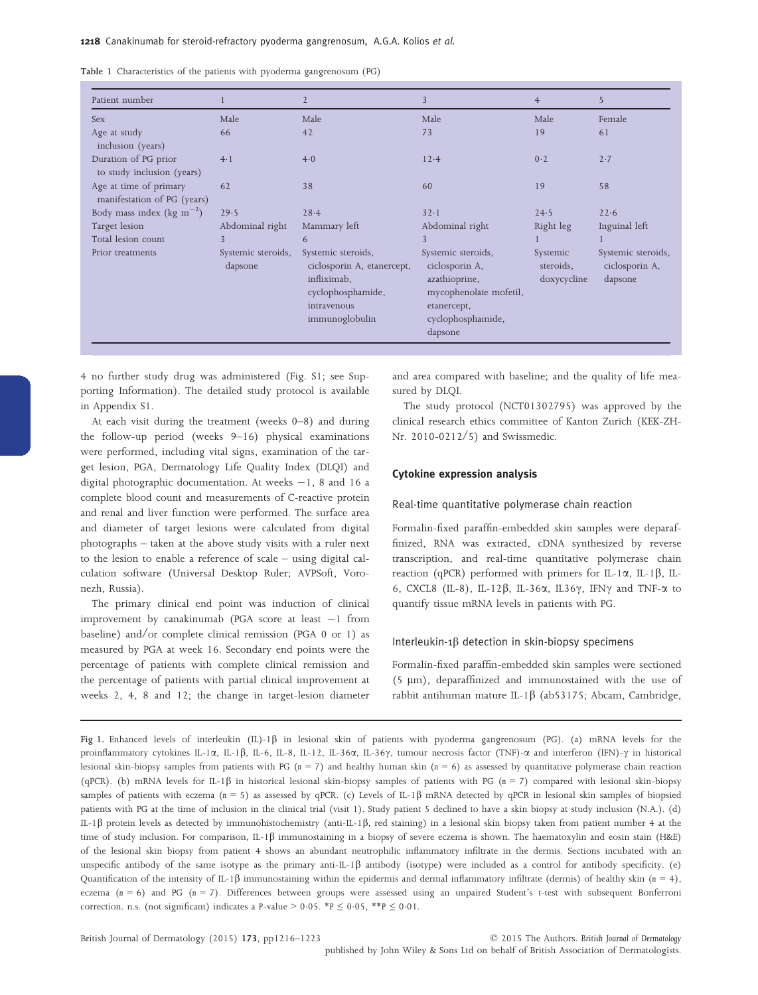|  | Table 1 Characteristics of the patients with pyoderma gangrenosum (PG) |  |  |  |  |
|--|------------------------------------------------------------------------|--|--|--|--|
|  |                                                                        |  |  |  |  |

| Patient number                                        |                               | $\overline{2}$                                                                                                        | $\overline{3}$                                                                                                                 | $\overline{4}$                       | 5                                               |  |
|-------------------------------------------------------|-------------------------------|-----------------------------------------------------------------------------------------------------------------------|--------------------------------------------------------------------------------------------------------------------------------|--------------------------------------|-------------------------------------------------|--|
|                                                       |                               |                                                                                                                       |                                                                                                                                |                                      |                                                 |  |
| <b>Sex</b>                                            | Male                          | Male                                                                                                                  | Male                                                                                                                           | Male                                 | Female                                          |  |
| Age at study<br>inclusion (years)                     | 66                            | 42                                                                                                                    | 73                                                                                                                             | 19                                   | 61                                              |  |
| Duration of PG prior<br>to study inclusion (years)    | $4-1$                         | 4.0                                                                                                                   | 12.4                                                                                                                           | 0.2                                  | 2.7                                             |  |
| Age at time of primary<br>manifestation of PG (years) | 62                            | 38                                                                                                                    | 60                                                                                                                             | 19                                   | 58                                              |  |
| Body mass index (kg m <sup><math>-2</math></sup> )    | 29.5                          | 28.4                                                                                                                  | $32 - 1$                                                                                                                       | 24.5                                 | 22.6                                            |  |
| Target lesion                                         | Abdominal right               | Mammary left                                                                                                          | Abdominal right                                                                                                                | Right leg                            | Inguinal left                                   |  |
| Total lesion count                                    | 3                             | 6                                                                                                                     | 3                                                                                                                              |                                      |                                                 |  |
| Prior treatments                                      | Systemic steroids,<br>dapsone | Systemic steroids,<br>ciclosporin A, etanercept,<br>infliximab,<br>cyclophosphamide,<br>intravenous<br>immunoglobulin | Systemic steroids,<br>ciclosporin A,<br>azathioprine,<br>mycophenolate mofetil,<br>etanercept,<br>cyclophosphamide,<br>dapsone | Systemic<br>steroids,<br>doxycycline | Systemic steroids,<br>ciclosporin A,<br>dapsone |  |

4 no further study drug was administered (Fig. S1; see Supporting Information). The detailed study protocol is available in Appendix S1.

At each visit during the treatment (weeks 0–8) and during the follow-up period (weeks 9–16) physical examinations were performed, including vital signs, examination of the target lesion, PGA, Dermatology Life Quality Index (DLQI) and digital photographic documentation. At weeks  $-1$ , 8 and 16 a complete blood count and measurements of C-reactive protein and renal and liver function were performed. The surface area and diameter of target lesions were calculated from digital photographs – taken at the above study visits with a ruler next to the lesion to enable a reference of scale – using digital calculation software (Universal Desktop Ruler; AVPSoft, Voronezh, Russia).

The primary clinical end point was induction of clinical improvement by canakinumab (PGA score at least  $-1$  from baseline) and/or complete clinical remission (PGA 0 or 1) as measured by PGA at week 16. Secondary end points were the percentage of patients with complete clinical remission and the percentage of patients with partial clinical improvement at weeks 2, 4, 8 and 12; the change in target-lesion diameter

and area compared with baseline; and the quality of life measured by DLQI.

The study protocol (NCT01302795) was approved by the clinical research ethics committee of Kanton Zurich (KEK-ZH-Nr. 2010-0212/5) and Swissmedic.

#### Cytokine expression analysis

#### Real-time quantitative polymerase chain reaction

Formalin-fixed paraffin-embedded skin samples were deparaffinized, RNA was extracted, cDNA synthesized by reverse transcription, and real-time quantitative polymerase chain reaction (qPCR) performed with primers for IL-1 $\alpha$ , IL-1 $\beta$ , IL-6, CXCL8 (IL-8), IL-12 $\beta$ , IL-36 $\alpha$ , IL36 $\gamma$ , IFN $\gamma$  and TNF- $\alpha$  to quantify tissue mRNA levels in patients with PG.

#### Interleukin-1 $\beta$  detection in skin-biopsy specimens

Formalin-fixed paraffin-embedded skin samples were sectioned (5 lm), deparaffinized and immunostained with the use of rabbit antihuman mature IL-1 $\beta$  (ab53175; Abcam, Cambridge,

Fig 1. Enhanced levels of interleukin (IL)-1 $\beta$  in lesional skin of patients with pyoderma gangrenosum (PG). (a) mRNA levels for the proinflammatory cytokines IL-1 $\alpha$ , IL-1 $\beta$ , IL-6, IL-8, IL-12, IL-36 $\alpha$ , IL-36 $\gamma$ , tumour necrosis factor (TNF)- $\alpha$  and interferon (IFN)- $\gamma$  in historical lesional skin-biopsy samples from patients with PG ( $n = 7$ ) and healthy human skin ( $n = 6$ ) as assessed by quantitative polymerase chain reaction (qPCR). (b) mRNA levels for IL-1 $\beta$  in historical lesional skin-biopsy samples of patients with PG (n = 7) compared with lesional skin-biopsy samples of patients with eczema  $(n = 5)$  as assessed by qPCR. (c) Levels of IL-1 $\beta$  mRNA detected by qPCR in lesional skin samples of biopsied patients with PG at the time of inclusion in the clinical trial (visit 1). Study patient 5 declined to have a skin biopsy at study inclusion (N.A.). (d) IL-1 $\beta$  protein levels as detected by immunohistochemistry (anti-IL-1 $\beta$ , red staining) in a lesional skin biopsy taken from patient number 4 at the time of study inclusion. For comparison, IL-1 $\beta$  immunostaining in a biopsy of severe eczema is shown. The haematoxylin and eosin stain (H&E) of the lesional skin biopsy from patient 4 shows an abundant neutrophilic inflammatory infiltrate in the dermis. Sections incubated with an unspecific antibody of the same isotype as the primary anti-IL-1 $\beta$  antibody (isotype) were included as a control for antibody specificity. (e) Quantification of the intensity of IL-1 $\beta$  immunostaining within the epidermis and dermal inflammatory infiltrate (dermis) of healthy skin (n = 4), eczema  $(n = 6)$  and PG  $(n = 7)$ . Differences between groups were assessed using an unpaired Student's t-test with subsequent Bonferroni correction. n.s. (not significant) indicates a P-value > 0.05. \*P  $\leq$  0.05, \*\*P  $\leq$  0.01.

British Journal of Dermatology (2015) 173, pp1216–1223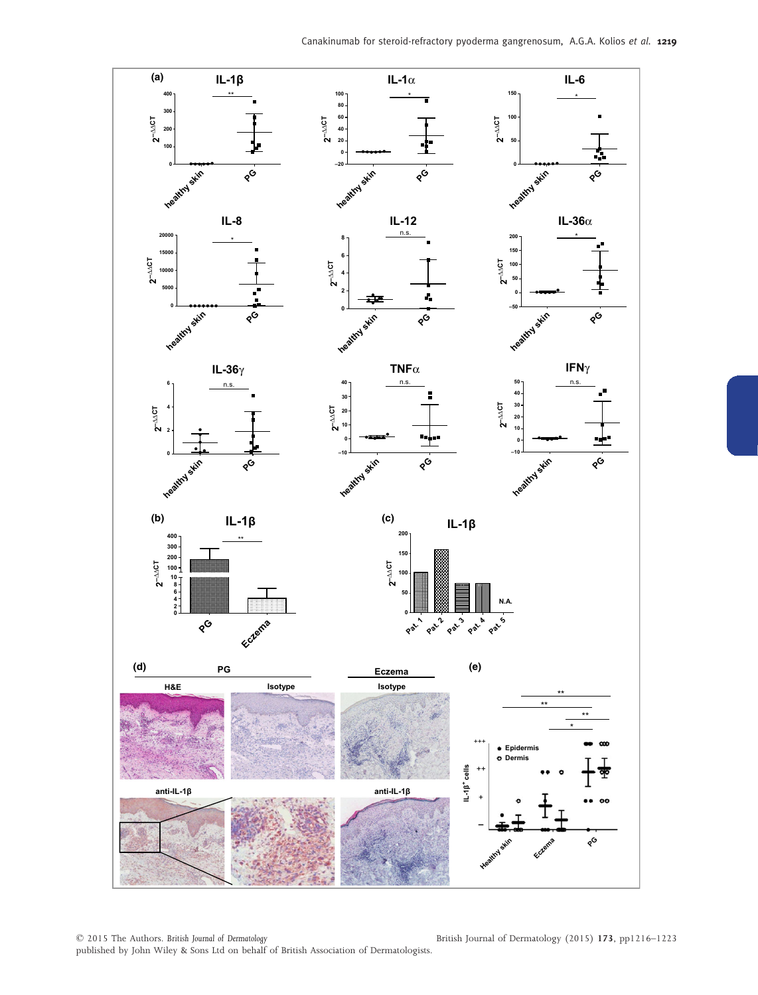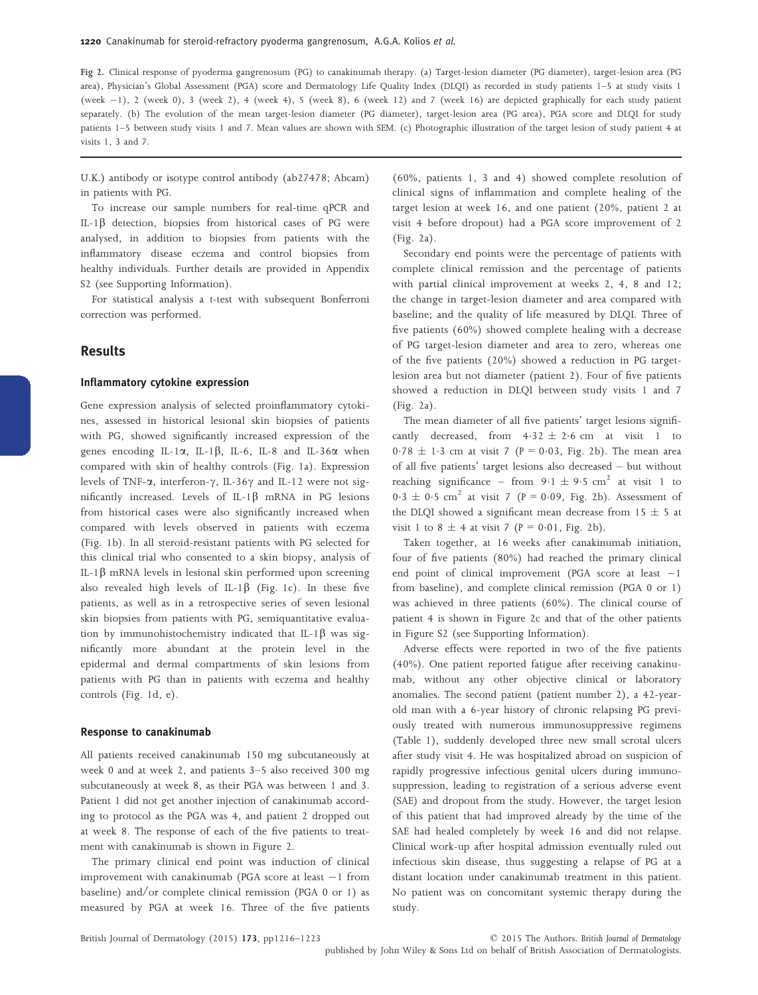Fig 2. Clinical response of pyoderma gangrenosum (PG) to canakinumab therapy. (a) Target-lesion diameter (PG diameter), target-lesion area (PG area), Physician's Global Assessment (PGA) score and Dermatology Life Quality Index (DLQI) as recorded in study patients 1–5 at study visits 1 (week 1), 2 (week 0), 3 (week 2), 4 (week 4), 5 (week 8), 6 (week 12) and 7 (week 16) are depicted graphically for each study patient separately. (b) The evolution of the mean target-lesion diameter (PG diameter), target-lesion area (PG area), PGA score and DLQI for study patients 1–5 between study visits 1 and 7. Mean values are shown with SEM. (c) Photographic illustration of the target lesion of study patient 4 at visits 1, 3 and 7.

U.K.) antibody or isotype control antibody (ab27478; Abcam) in patients with PG.

To increase our sample numbers for real-time qPCR and IL-1 $\beta$  detection, biopsies from historical cases of PG were analysed, in addition to biopsies from patients with the inflammatory disease eczema and control biopsies from healthy individuals. Further details are provided in Appendix S2 (see Supporting Information).

For statistical analysis a t-test with subsequent Bonferroni correction was performed.

## Results

#### Inflammatory cytokine expression

Gene expression analysis of selected proinflammatory cytokines, assessed in historical lesional skin biopsies of patients with PG, showed significantly increased expression of the genes encoding IL-1 $\alpha$ , IL-1 $\beta$ , IL-6, IL-8 and IL-36 $\alpha$  when compared with skin of healthy controls (Fig. 1a). Expression levels of TNF- $\alpha$ , interferon- $\gamma$ , IL-36 $\gamma$  and IL-12 were not significantly increased. Levels of  $IL-1\beta$  mRNA in PG lesions from historical cases were also significantly increased when compared with levels observed in patients with eczema (Fig. 1b). In all steroid-resistant patients with PG selected for this clinical trial who consented to a skin biopsy, analysis of IL-1 $\beta$  mRNA levels in lesional skin performed upon screening also revealed high levels of IL-1 $\beta$  (Fig. 1c). In these five patients, as well as in a retrospective series of seven lesional skin biopsies from patients with PG, semiquantitative evaluation by immunohistochemistry indicated that IL-1 $\beta$  was significantly more abundant at the protein level in the epidermal and dermal compartments of skin lesions from patients with PG than in patients with eczema and healthy controls (Fig. 1d, e).

#### Response to canakinumab

All patients received canakinumab 150 mg subcutaneously at week 0 and at week 2, and patients 3–5 also received 300 mg subcutaneously at week 8, as their PGA was between 1 and 3. Patient 1 did not get another injection of canakinumab according to protocol as the PGA was 4, and patient 2 dropped out at week 8. The response of each of the five patients to treatment with canakinumab is shown in Figure 2.

The primary clinical end point was induction of clinical improvement with canakinumab (PGA score at least  $-1$  from baseline) and/or complete clinical remission (PGA 0 or 1) as measured by PGA at week 16. Three of the five patients (60%, patients 1, 3 and 4) showed complete resolution of clinical signs of inflammation and complete healing of the target lesion at week 16, and one patient (20%, patient 2 at visit 4 before dropout) had a PGA score improvement of 2 (Fig. 2a).

Secondary end points were the percentage of patients with complete clinical remission and the percentage of patients with partial clinical improvement at weeks 2, 4, 8 and 12; the change in target-lesion diameter and area compared with baseline; and the quality of life measured by DLQI. Three of five patients (60%) showed complete healing with a decrease of PG target-lesion diameter and area to zero, whereas one of the five patients (20%) showed a reduction in PG targetlesion area but not diameter (patient 2). Four of five patients showed a reduction in DLQI between study visits 1 and 7 (Fig. 2a).

The mean diameter of all five patients' target lesions significantly decreased, from  $4.32 \pm 2.6$  cm at visit 1 to  $0.78 \pm 1.3$  cm at visit 7 (P = 0.03, Fig. 2b). The mean area of all five patients' target lesions also decreased – but without reaching significance – from  $9.1 \pm 9.5$  cm<sup>2</sup> at visit 1 to  $0.3 \pm 0.5$  cm<sup>2</sup> at visit 7 (P = 0.09, Fig. 2b). Assessment of the DLQI showed a significant mean decrease from  $15 \pm 5$  at visit 1 to 8  $\pm$  4 at visit 7 (P = 0.01, Fig. 2b).

Taken together, at 16 weeks after canakinumab initiation, four of five patients (80%) had reached the primary clinical end point of clinical improvement (PGA score at least  $-1$ from baseline), and complete clinical remission (PGA 0 or 1) was achieved in three patients (60%). The clinical course of patient 4 is shown in Figure 2c and that of the other patients in Figure S2 (see Supporting Information).

Adverse effects were reported in two of the five patients (40%). One patient reported fatigue after receiving canakinumab, without any other objective clinical or laboratory anomalies. The second patient (patient number 2), a 42-yearold man with a 6-year history of chronic relapsing PG previously treated with numerous immunosuppressive regimens (Table 1), suddenly developed three new small scrotal ulcers after study visit 4. He was hospitalized abroad on suspicion of rapidly progressive infectious genital ulcers during immunosuppression, leading to registration of a serious adverse event (SAE) and dropout from the study. However, the target lesion of this patient that had improved already by the time of the SAE had healed completely by week 16 and did not relapse. Clinical work-up after hospital admission eventually ruled out infectious skin disease, thus suggesting a relapse of PG at a distant location under canakinumab treatment in this patient. No patient was on concomitant systemic therapy during the study.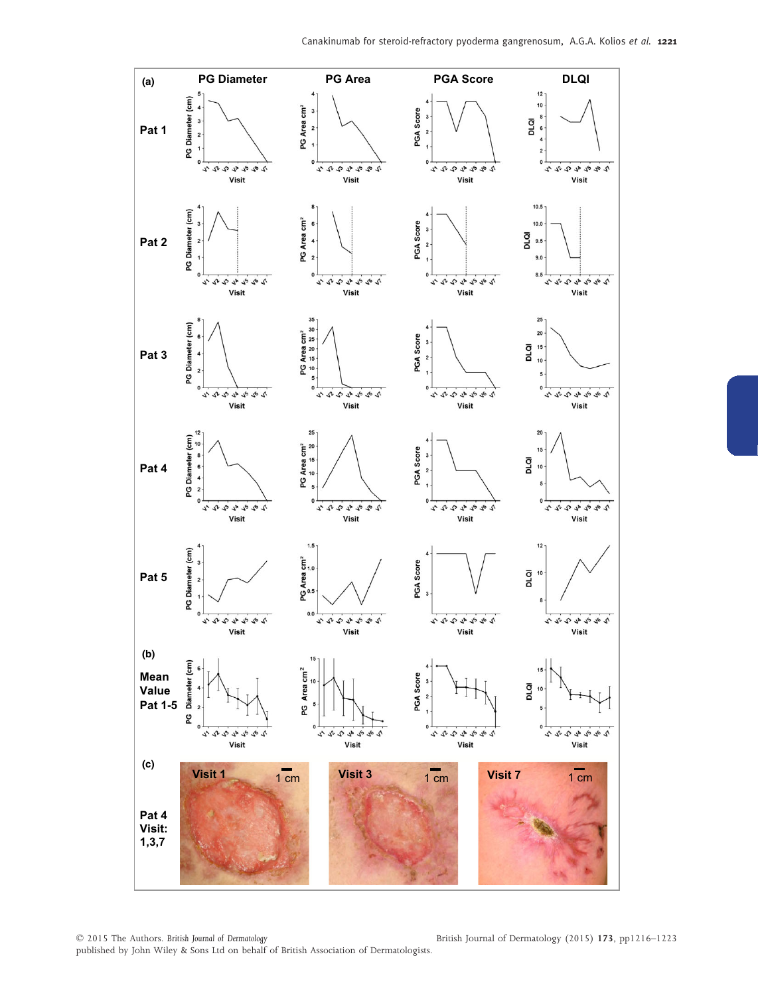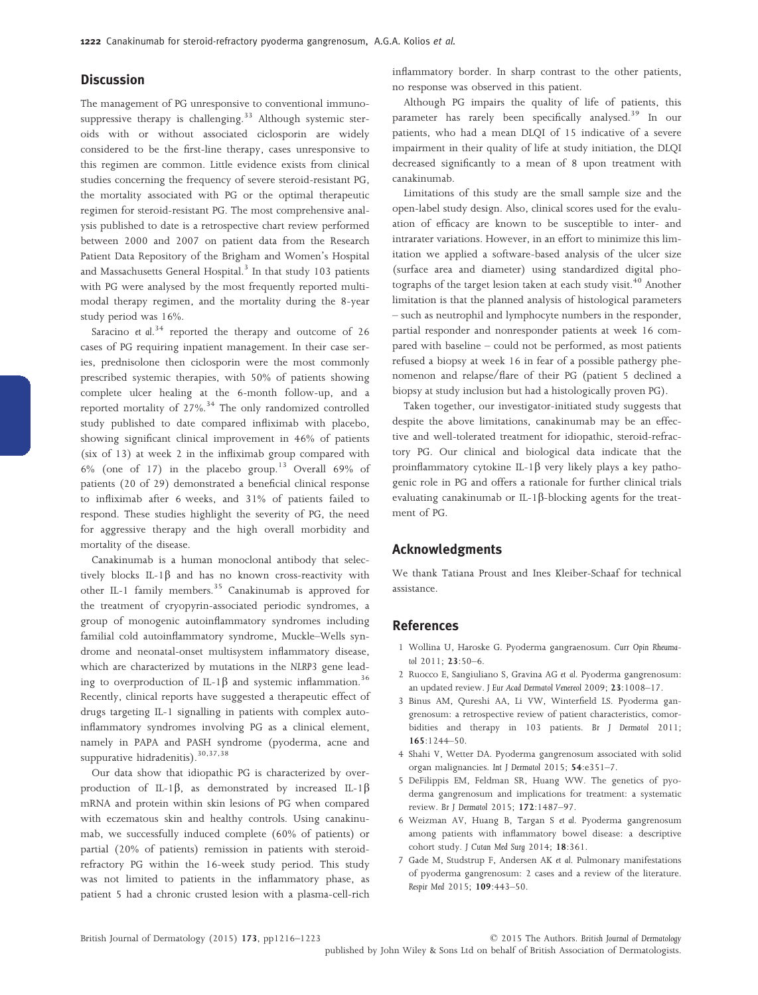## **Discussion**

The management of PG unresponsive to conventional immunosuppressive therapy is challenging.<sup>33</sup> Although systemic steroids with or without associated ciclosporin are widely considered to be the first-line therapy, cases unresponsive to this regimen are common. Little evidence exists from clinical studies concerning the frequency of severe steroid-resistant PG, the mortality associated with PG or the optimal therapeutic regimen for steroid-resistant PG. The most comprehensive analysis published to date is a retrospective chart review performed between 2000 and 2007 on patient data from the Research Patient Data Repository of the Brigham and Women's Hospital and Massachusetts General Hospital.<sup>3</sup> In that study 103 patients with PG were analysed by the most frequently reported multimodal therapy regimen, and the mortality during the 8-year study period was 16%.

Saracino et al. $34$  reported the therapy and outcome of 26 cases of PG requiring inpatient management. In their case series, prednisolone then ciclosporin were the most commonly prescribed systemic therapies, with 50% of patients showing complete ulcer healing at the 6-month follow-up, and a reported mortality of  $27\%$ .<sup>34</sup> The only randomized controlled study published to date compared infliximab with placebo, showing significant clinical improvement in 46% of patients (six of 13) at week 2 in the infliximab group compared with  $6\%$  (one of 17) in the placebo group.<sup>13</sup> Overall  $69\%$  of patients (20 of 29) demonstrated a beneficial clinical response to infliximab after 6 weeks, and 31% of patients failed to respond. These studies highlight the severity of PG, the need for aggressive therapy and the high overall morbidity and mortality of the disease.

Canakinumab is a human monoclonal antibody that selectively blocks IL-1 $\beta$  and has no known cross-reactivity with other IL-1 family members.<sup>35</sup> Canakinumab is approved for the treatment of cryopyrin-associated periodic syndromes, a group of monogenic autoinflammatory syndromes including familial cold autoinflammatory syndrome, Muckle–Wells syndrome and neonatal-onset multisystem inflammatory disease, which are characterized by mutations in the NLRP3 gene leading to overproduction of IL-1 $\beta$  and systemic inflammation.<sup>36</sup> Recently, clinical reports have suggested a therapeutic effect of drugs targeting IL-1 signalling in patients with complex autoinflammatory syndromes involving PG as a clinical element, namely in PAPA and PASH syndrome (pyoderma, acne and suppurative hidradenitis).<sup>30,37,38</sup>

Our data show that idiopathic PG is characterized by overproduction of IL-1 $\beta$ , as demonstrated by increased IL-1 $\beta$ mRNA and protein within skin lesions of PG when compared with eczematous skin and healthy controls. Using canakinumab, we successfully induced complete (60% of patients) or partial (20% of patients) remission in patients with steroidrefractory PG within the 16-week study period. This study was not limited to patients in the inflammatory phase, as patient 5 had a chronic crusted lesion with a plasma-cell-rich inflammatory border. In sharp contrast to the other patients, no response was observed in this patient.

Although PG impairs the quality of life of patients, this parameter has rarely been specifically analysed.<sup>39</sup> In our patients, who had a mean DLQI of 15 indicative of a severe impairment in their quality of life at study initiation, the DLQI decreased significantly to a mean of 8 upon treatment with canakinumab.

Limitations of this study are the small sample size and the open-label study design. Also, clinical scores used for the evaluation of efficacy are known to be susceptible to inter- and intrarater variations. However, in an effort to minimize this limitation we applied a software-based analysis of the ulcer size (surface area and diameter) using standardized digital photographs of the target lesion taken at each study visit.<sup>40</sup> Another limitation is that the planned analysis of histological parameters – such as neutrophil and lymphocyte numbers in the responder, partial responder and nonresponder patients at week 16 compared with baseline – could not be performed, as most patients refused a biopsy at week 16 in fear of a possible pathergy phenomenon and relapse/flare of their PG (patient 5 declined a biopsy at study inclusion but had a histologically proven PG).

Taken together, our investigator-initiated study suggests that despite the above limitations, canakinumab may be an effective and well-tolerated treatment for idiopathic, steroid-refractory PG. Our clinical and biological data indicate that the proinflammatory cytokine IL-1 $\beta$  very likely plays a key pathogenic role in PG and offers a rationale for further clinical trials evaluating canakinumab or IL-1 $\beta$ -blocking agents for the treatment of PG.

#### Acknowledgments

We thank Tatiana Proust and Ines Kleiber-Schaaf for technical assistance.

## References

- 1 Wollina U, Haroske G. Pyoderma gangraenosum. Curr Opin Rheumatol 2011; 23:50–6.
- 2 Ruocco E, Sangiuliano S, Gravina AG et al. Pyoderma gangrenosum: an updated review. J Eur Acad Dermatol Venereol 2009; 23:1008–17.
- 3 Binus AM, Qureshi AA, Li VW, Winterfield LS. Pyoderma gangrenosum: a retrospective review of patient characteristics, comorbidities and therapy in 103 patients. Br J Dermatol 2011; 165:1244–50.
- 4 Shahi V, Wetter DA. Pyoderma gangrenosum associated with solid organ malignancies. Int J Dermatol 2015; 54:e351–7.
- 5 DeFilippis EM, Feldman SR, Huang WW. The genetics of pyoderma gangrenosum and implications for treatment: a systematic review. Br J Dermatol 2015; 172:1487–97.
- 6 Weizman AV, Huang B, Targan S et al. Pyoderma gangrenosum among patients with inflammatory bowel disease: a descriptive cohort study. J Cutan Med Surg 2014; 18:361.
- 7 Gade M, Studstrup F, Andersen AK et al. Pulmonary manifestations of pyoderma gangrenosum: 2 cases and a review of the literature. Respir Med 2015; 109:443–50.